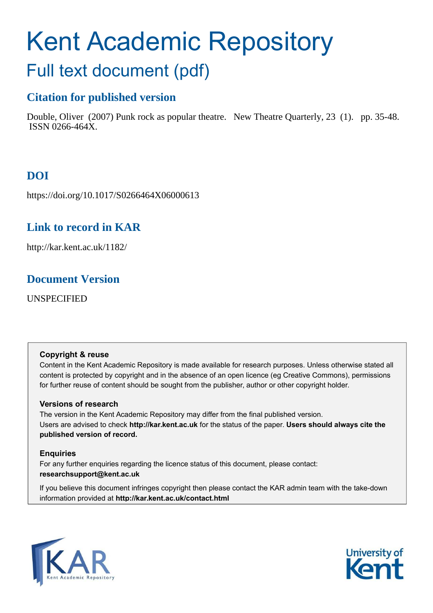# Kent Academic Repository

# Full text document (pdf)

# **Citation for published version**

Double, Oliver (2007) Punk rock as popular theatre. New Theatre Quarterly, 23 (1). pp. 35-48. ISSN 0266-464X.

# **DOI**

https://doi.org/10.1017/S0266464X06000613

# **Link to record in KAR**

http://kar.kent.ac.uk/1182/

# **Document Version**

UNSPECIFIED

## **Copyright & reuse**

Content in the Kent Academic Repository is made available for research purposes. Unless otherwise stated all content is protected by copyright and in the absence of an open licence (eg Creative Commons), permissions for further reuse of content should be sought from the publisher, author or other copyright holder.

## **Versions of research**

The version in the Kent Academic Repository may differ from the final published version. Users are advised to check **http://kar.kent.ac.uk** for the status of the paper. **Users should always cite the published version of record.**

## **Enquiries**

For any further enquiries regarding the licence status of this document, please contact: **researchsupport@kent.ac.uk**

If you believe this document infringes copyright then please contact the KAR admin team with the take-down information provided at **http://kar.kent.ac.uk/contact.html**



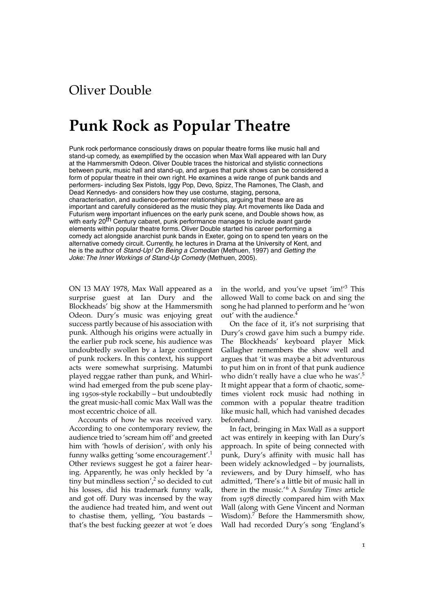# **Punk Rock as Popular Theatre**

Punk rock performance consciously draws on popular theatre forms like music hall and stand-up comedy, as exemplified by the occasion when Max Wall appeared with Ian Dury at the Hammersmith Odeon. Oliver Double traces the historical and stylistic connections between punk, music hall and stand-up, and argues that punk shows can be considered a form of popular theatre in their own right. He examines a wide range of punk bands and performers- including Sex Pistols, Iggy Pop, Devo, Spizz, The Ramones, The Clash, and Dead Kennedys- and considers how they use costume, staging, persona, characterisation, and audience-performer relationships, arguing that these are as important and carefully considered as the music they play. Art movements like Dada and Futurism were important influences on the early punk scene, and Double shows how, as with early 20<sup>th</sup> Century cabaret, punk performance manages to include avant garde elements within popular theatre forms. Oliver Double started his career performing a comedy act alongside anarchist punk bands in Exeter, going on to spend ten years on the alternative comedy circuit. Currently, he lectures in Drama at the University of Kent, and he is the author of Stand-Up! On Being a Comedian (Methuen, 1997) and Getting the Joke: The Inner Workings of Stand-Up Comedy (Methuen, 2005).

ON 13 MAY 1978, Max Wall appeared as a surprise guest at Ian Dury and the Blockheads' big show at the Hammersmith Odeon. Dury's music was enjoying great success partly because of his association with punk. Although his origins were actually in the earlier pub rock scene, his audience was undoubtedly swollen by a large contingent of punk rockers. In this context, his support acts were somewhat surprising. Matumbi played reggae rather than punk, and Whirlwind had emerged from the pub scene playing 1950s-style rockabilly – but undoubtedly the great music-hall comic Max Wall was the most eccentric choice of all.

Accounts of how he was received vary. According to one contemporary review, the audience tried to 'scream him off' and greeted him with 'howls of derision', with only his funny walks getting 'some encouragement'.<sup>1</sup> Other reviews suggest he got a fairer hearing. Apparently, he was only heckled by 'a tiny but mindless section', $^2$  so decided to cut his losses, did his trademark funny walk, and got off. Dury was incensed by the way the audience had treated him, and went out to chastise them, yelling, 'You bastards – that's the best fucking geezer at wot 'e does in the world, and you've upset 'im!'<sup>3</sup> This allowed Wall to come back on and sing the song he had planned to perform and he 'won out' with the audience.<sup>4</sup>

On the face of it, it's not surprising that Dury's crowd gave him such a bumpy ride. The Blockheads' keyboard player Mick Gallagher remembers the show well and argues that 'it was maybe a bit adventurous to put him on in front of that punk audience who didn't really have a clue who he was'.<sup>5</sup> It might appear that a form of chaotic, sometimes violent rock music had nothing in common with a popular theatre tradition like music hall, which had vanished decades beforehand.

In fact, bringing in Max Wall as a support act was entirely in keeping with Ian Dury's approach. In spite of being connected with punk, Dury's affinity with music hall has been widely acknowledged – by journalists, reviewers, and by Dury himself, who has admitted, 'There's a little bit of music hall in there in the music.' <sup>6</sup> A *Sunday Times* article from 1978 directly compared him with Max Wall (along with Gene Vincent and Norman Wisdom).<sup>7</sup> Before the Hammersmith show, Wall had recorded Dury's song 'England's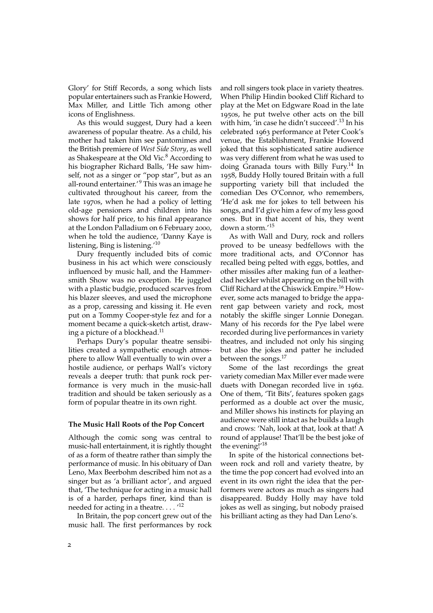Glory' for Stiff Records, a song which lists popular entertainers such as Frankie Howerd, Max Miller, and Little Tich among other icons of Englishness.

As this would suggest, Dury had a keen awareness of popular theatre. As a child, his mother had taken him see pantomimes and the British premiere of *West Side Story*, as well as Shakespeare at the Old Vic.<sup>8</sup> According to his biographer Richard Balls, 'He saw himself, not as a singer or "pop star", but as an all-round entertainer.<sup>'9</sup> This was an image he cultivated throughout his career, from the late 1970s, when he had a policy of letting old-age pensioners and children into his shows for half price, to his final appearance at the London Palladium on 6 February 2000, when he told the audience, 'Danny Kaye is listening, Bing is listening.'<sup>10</sup>

Dury frequently included bits of comic business in his act which were consciously influenced by music hall, and the Hammersmith Show was no exception. He juggled with a plastic budgie, produced scarves from his blazer sleeves, and used the microphone as a prop, caressing and kissing it. He even put on a Tommy Cooper-style fez and for a moment became a quick-sketch artist, drawing a picture of a blockhead.<sup>11</sup>

Perhaps Dury's popular theatre sensibilities created a sympathetic enough atmosphere to allow Wall eventually to win over a hostile audience, or perhaps Wall's victory reveals a deeper truth: that punk rock performance is very much in the music-hall tradition and should be taken seriously as a form of popular theatre in its own right.

#### **The Music Hall Roots of the Pop Concert**

Although the comic song was central to music-hall entertainment, it is rightly thought of as a form of theatre rather than simply the performance of music. In his obituary of Dan Leno, Max Beerbohm described him not as a singer but as 'a brilliant actor', and argued that, 'The technique for acting in a music hall is of a harder, perhaps finer, kind than is needed for acting in a theatre. . . . '<sup>12</sup>

In Britain, the pop concert grew out of the music hall. The first performances by rock

and roll singers took place in variety theatres. When Philip Hindin booked Cliff Richard to play at the Met on Edgware Road in the late 1950s, he put twelve other acts on the bill with him, 'in case he didn't succeed'.<sup>13</sup> In his celebrated 1963 performance at Peter Cook's venue, the Establishment, Frankie Howerd joked that this sophisticated satire audience was very different from what he was used to doing Granada tours with Billy Fury.<sup>14</sup> In 1958, Buddy Holly toured Britain with a full supporting variety bill that included the comedian Des O'Connor, who remembers, 'He'd ask me for jokes to tell between his songs, and I'd give him a few of my less good ones. But in that accent of his, they went down a storm.'<sup>15</sup>

As with Wall and Dury, rock and rollers proved to be uneasy bedfellows with the more traditional acts, and O'Connor has recalled being pelted with eggs, bottles, and other missiles after making fun of a leatherclad heckler whilst appearing on the bill with Cliff Richard at the Chiswick Empire.<sup>16</sup> However, some acts managed to bridge the apparent gap between variety and rock, most notably the skiffle singer Lonnie Donegan. Many of his records for the Pye label were recorded during live performances in variety theatres, and included not only his singing but also the jokes and patter he included between the songs.<sup>17</sup>

Some of the last recordings the great variety comedian Max Miller ever made were duets with Donegan recorded live in 1962. One of them, 'Tit Bits', features spoken gags performed as a double act over the music, and Miller shows his instincts for playing an audience were still intact as he builds a laugh and crows: 'Nah, look at that, look at that! A round of applause! That'll be the best joke of the evening!'<sup>18</sup>

In spite of the historical connections between rock and roll and variety theatre, by the time the pop concert had evolved into an event in its own right the idea that the performers were actors as much as singers had disappeared. Buddy Holly may have told jokes as well as singing, but nobody praised his brilliant acting as they had Dan Leno's.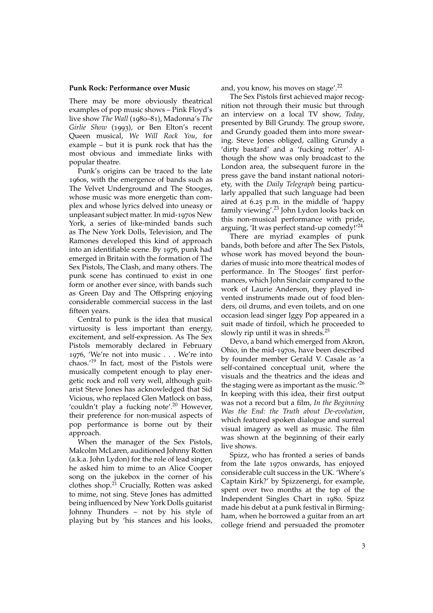#### **Punk Rock: Performance over Music**

There may be more obviously theatrical examples of pop music shows – Pink Floyd's live show *The Wall* (1980–81), Madonna's *The Girlie Show* (1993), or Ben Elton's recent Queen musical, *We Will Rock You*, for example – but it is punk rock that has the most obvious and immediate links with popular theatre.

Punk's origins can be traced to the late 1960s, with the emergence of bands such as The Velvet Underground and The Stooges, whose music was more energetic than complex and whose lyrics delved into uneasy or unpleasant subject matter. In mid-1970s New York, a series of like-minded bands such as The New York Dolls, Television, and The Ramones developed this kind of approach into an identifiable scene. By 1976, punk had emerged in Britain with the formation of The Sex Pistols, The Clash, and many others. The punk scene has continued to exist in one form or another ever since, with bands such as Green Day and The Offspring enjoying considerable commercial success in the last fifteen years.

Central to punk is the idea that musical virtuosity is less important than energy, excitement, and self-expression. As The Sex Pistols memorably declared in February 1976, 'We're not into music . . . We're into chaos.'<sup>19</sup> In fact, most of the Pistols were musically competent enough to play energetic rock and roll very well, although guitarist Steve Jones has acknowledged that Sid Vicious, who replaced Glen Matlock on bass, 'couldn't play a fucking note'.<sup>20</sup> However, their preference for non-musical aspects of pop performance is borne out by their approach.

When the manager of the Sex Pistols, Malcolm McLaren, auditioned Johnny Rotten (a.k.a. John Lydon) for the role of lead singer, he asked him to mime to an Alice Cooper song on the jukebox in the corner of his clothes shop.<sup>21</sup> Crucially, Rotten was asked to mime, not sing. Steve Jones has admitted being influenced by New York Dolls guitarist Johnny Thunders – not by his style of playing but by 'his stances and his looks, and, you know, his moves on stage'.<sup>22</sup>

The Sex Pistols first achieved major recognition not through their music but through an interview on a local TV show, *Today*, presented by Bill Grundy. The group swore, and Grundy goaded them into more swearing. Steve Jones obliged, calling Grundy a 'dirty bastard' and a 'fucking rotter'. Although the show was only broadcast to the London area, the subsequent furore in the press gave the band instant national notoriety, with the *Daily Telegraph* being particularly appalled that such language had been aired at 6.25 p.m. in the middle of 'happy family viewing'.<sup>23</sup> John Lydon looks back on this non-musical performance with pride, arguing, 'It was perfect stand-up comedy!'<sup>24</sup>

There are myriad examples of punk bands, both before and after The Sex Pistols, whose work has moved beyond the boundaries of music into more theatrical modes of performance. In The Stooges' first performances, which John Sinclair compared to the work of Laurie Anderson, they played invented instruments made out of food blenders, oil drums, and even toilets, and on one occasion lead singer Iggy Pop appeared in a suit made of tinfoil, which he proceeded to slowly rip until it was in shreds. $25$ 

Devo, a band which emerged from Akron, Ohio, in the mid-1970s, have been described by founder member Gerald V. Casale as 'a self-contained conceptual unit, where the visuals and the theatrics and the ideas and the staging were as important as the music.<sup> $26$ </sup> In keeping with this idea, their first output was not a record but a film, *In the Beginning Was the End: the Truth about De-evolution*, which featured spoken dialogue and surreal visual imagery as well as music. The film was shown at the beginning of their early live shows.

Spizz, who has fronted a series of bands from the late 1970s onwards, has enjoyed considerable cult success in the UK. 'Where's Captain Kirk?' by Spizzenergi, for example, spent over two months at the top of the Independent Singles Chart in 1980. Spizz made his debut at a punk festival in Birmingham, when he borrowed a guitar from an art college friend and persuaded the promoter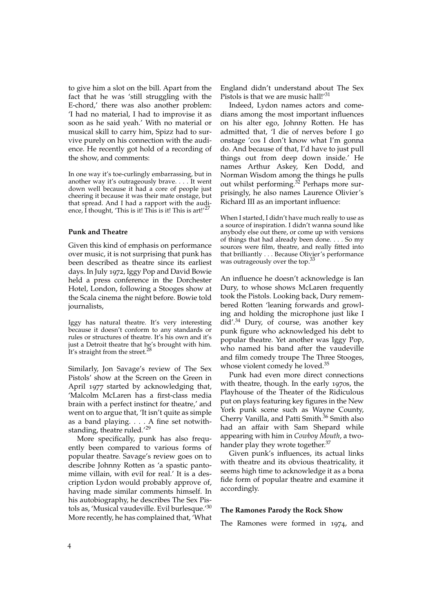to give him a slot on the bill. Apart from the fact that he was 'still struggling with the E-chord,' there was also another problem: 'I had no material, I had to improvise it as soon as he said yeah.' With no material or musical skill to carry him, Spizz had to survive purely on his connection with the audience. He recently got hold of a recording of the show, and comments:

In one way it's toe-curlingly embarrassing, but in another way it's outrageously brave. . . . It went down well because it had a core of people just cheering it because it was their mate onstage, but that spread. And I had a rapport with the audience,  $\hat{I}$  thought, 'This is it! This is it! This is art!'<sup>27</sup>

#### **Punk and Theatre**

Given this kind of emphasis on performance over music, it is not surprising that punk has been described as theatre since its earliest days. In July 1972, Iggy Pop and David Bowie held a press conference in the Dorchester Hotel, London, following a Stooges show at the Scala cinema the night before. Bowie told journalists,

Iggy has natural theatre. It's very interesting because it doesn't conform to any standards or rules or structures of theatre. It's his own and it's just a Detroit theatre that he's brought with him. It's straight from the street. $\frac{2}{3}$ 

Similarly, Jon Savage's review of The Sex Pistols' show at the Screen on the Green in April 1977 started by acknowledging that, 'Malcolm McLaren has a first-class media brain with a perfect instinct for theatre,' and went on to argue that, 'It isn't quite as simple as a band playing. . . . A fine set notwithstanding, theatre ruled.'<sup>29</sup>

More specifically, punk has also frequently been compared to various forms of popular theatre. Savage's review goes on to describe Johnny Rotten as 'a spastic pantomime villain, with evil for real.' It is a description Lydon would probably approve of, having made similar comments himself. In his autobiography, he describes The Sex Pistols as, 'Musical vaudeville. Evil burlesque.'30 More recently, he has complained that, 'What England didn't understand about The Sex Pistols is that we are music hall!'<sup>31</sup>

Indeed, Lydon names actors and comedians among the most important influences on his alter ego, Johnny Rotten. He has admitted that, 'I die of nerves before I go onstage 'cos I don't know what I'm gonna do. And because of that, I'd have to just pull things out from deep down inside.' He names Arthur Askey, Ken Dodd, and Norman Wisdom among the things he pulls out whilst performing.<sup>32</sup> Perhaps more surprisingly, he also names Laurence Olivier's Richard III as an important influence:

When I started, I didn't have much really to use as a source of inspiration. I didn't wanna sound like anybody else out there, or come up with versions of things that had already been done. . . . So my sources were film, theatre, and really fitted into that brilliantly . . . Because Olivier's performance was outrageously over the top.<sup>3</sup>

An influence he doesn't acknowledge is Ian Dury, to whose shows McLaren frequently took the Pistols. Looking back, Dury remembered Rotten 'leaning forwards and growling and holding the microphone just like I did'.<sup>34</sup> Dury, of course, was another key punk figure who acknowledged his debt to popular theatre. Yet another was Iggy Pop, who named his band after the vaudeville and film comedy troupe The Three Stooges, whose violent comedy he loved.<sup>35</sup>

Punk had even more direct connections with theatre, though. In the early 1970s, the Playhouse of the Theater of the Ridiculous put on plays featuring key figures in the New York punk scene such as Wayne County, Cherry Vanilla, and Patti Smith.<sup>36</sup> Smith also had an affair with Sam Shepard while appearing with him in *Cowboy Mouth*, a twohander play they wrote together.<sup>37</sup>

Given punk's influences, its actual links with theatre and its obvious theatricality, it seems high time to acknowledge it as a bona fide form of popular theatre and examine it accordingly.

#### **The Ramones Parody the Rock Show**

The Ramones were formed in 1974, and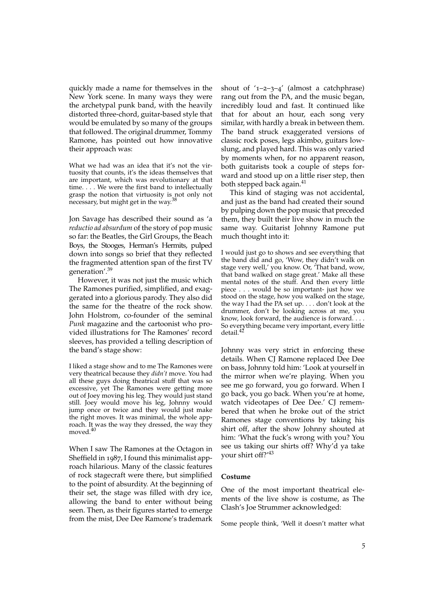quickly made a name for themselves in the New York scene. In many ways they were the archetypal punk band, with the heavily distorted three-chord, guitar-based style that would be emulated by so many of the groups that followed. The original drummer, Tommy Ramone, has pointed out how innovative their approach was:

What we had was an idea that it's not the virtuosity that counts, it's the ideas themselves that are important, which was revolutionary at that time. . . . We were the first band to intellectually grasp the notion that virtuosity is not only not necessary, but might get in the way.<sup>38</sup>

Jon Savage has described their sound as 'a *reductio ad absurdum* of the story of pop music so far: the Beatles, the Girl Groups, the Beach Boys, the Stooges, Herman's Hermits, pulped down into songs so brief that they reflected the fragmented attention span of the first TV generation'.<sup>39</sup>

However, it was not just the music which The Ramones purified, simplified, and exaggerated into a glorious parody. They also did the same for the theatre of the rock show. John Holstrom, co-founder of the seminal *Punk* magazine and the cartoonist who provided illustrations for The Ramones' record sleeves, has provided a telling description of the band's stage show:

I liked a stage show and to me The Ramones were very theatrical because they *didn't* move. You had all these guys doing theatrical stuff that was so excessive, yet The Ramones were getting more out of Joey moving his leg. They would just stand still. Joey would move his leg, Johnny would jump once or twice and they would just make the right moves. It was minimal, the whole approach. It was the way they dressed, the way they moved.<sup>40</sup>

When I saw The Ramones at the Octagon in Sheffield in 1987, I found this minimalist approach hilarious. Many of the classic features of rock stagecraft were there, but simplified to the point of absurdity. At the beginning of their set, the stage was filled with dry ice, allowing the band to enter without being seen. Then, as their figures started to emerge from the mist, Dee Dee Ramone's trademark shout of ' $1-2-3-4'$  (almost a catchphrase) rang out from the PA, and the music began, incredibly loud and fast. It continued like that for about an hour, each song very similar, with hardly a break in between them. The band struck exaggerated versions of classic rock poses, legs akimbo, guitars lowslung, and played hard. This was only varied by moments when, for no apparent reason, both guitarists took a couple of steps forward and stood up on a little riser step, then both stepped back again.<sup>41</sup>

This kind of staging was not accidental, and just as the band had created their sound by pulping down the pop music that preceded them, they built their live show in much the same way. Guitarist Johnny Ramone put much thought into it:

I would just go to shows and see everything that the band did and go, 'Wow, they didn't walk on stage very well,' you know. Or, 'That band, wow, that band walked on stage great.' Make all these mental notes of the stuff. And then every little piece . . . would be so important- just how we stood on the stage, how you walked on the stage, the way I had the PA set up. . . . don't look at the drummer, don't be looking across at me, you know, look forward, the audience is forward. . . . So everything became very important, every little  $detail.<sup>4</sup>$ 

Johnny was very strict in enforcing these details. When CJ Ramone replaced Dee Dee on bass, Johnny told him: 'Look at yourself in the mirror when we're playing. When you see me go forward, you go forward. When I go back, you go back. When you're at home, watch videotapes of Dee Dee.' CJ remembered that when he broke out of the strict Ramones stage conventions by taking his shirt off, after the show Johnny shouted at him: 'What the fuck's wrong with you? You see us taking our shirts off? Why'd ya take your shirt off?'<sup>43</sup>

#### **Costume**

One of the most important theatrical elements of the live show is costume, as The Clash's Joe Strummer acknowledged:

Some people think, 'Well it doesn't matter what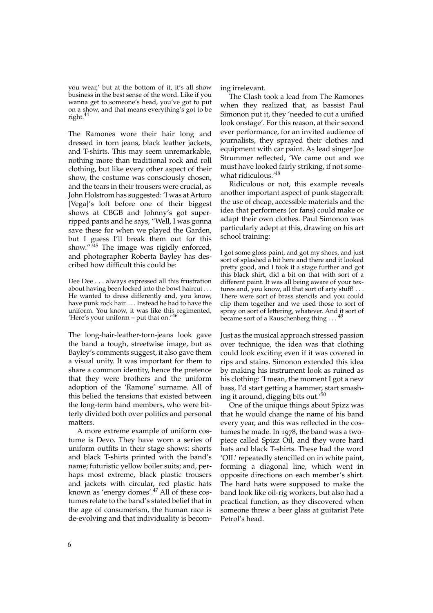you wear,' but at the bottom of it, it's all show business in the best sense of the word. Like if you wanna get to someone's head, you've got to put on a show, and that means everything's got to be right.<sup>44</sup>

The Ramones wore their hair long and dressed in torn jeans, black leather jackets, and T-shirts. This may seem unremarkable, nothing more than traditional rock and roll clothing, but like every other aspect of their show, the costume was consciously chosen, and the tears in their trousers were crucial, as John Holstrom has suggested: 'I was at Arturo [Vega]'s loft before one of their biggest shows at CBGB and Johnny's got superripped pants and he says, "Well, I was gonna save these for when we played the Garden, but I guess I'll break them out for this show."<sup>745</sup> The image was rigidly enforced, and photographer Roberta Bayley has described how difficult this could be:

Dee Dee . . . always expressed all this frustration about having been locked into the bowl haircut . . . He wanted to dress differently and, you know, have punk rock hair. . . . Instead he had to have the uniform. You know, it was like this regimented,<br>'Here's your uniform – put that on.'<sup>46</sup>

The long-hair-leather-torn-jeans look gave the band a tough, streetwise image, but as Bayley's comments suggest, it also gave them a visual unity. It was important for them to share a common identity, hence the pretence that they were brothers and the uniform adoption of the 'Ramone' surname. All of this belied the tensions that existed between the long-term band members, who were bitterly divided both over politics and personal matters.

A more extreme example of uniform costume is Devo. They have worn a series of uniform outfits in their stage shows: shorts and black T-shirts printed with the band's name; futuristic yellow boiler suits; and, perhaps most extreme, black plastic trousers and jackets with circular, red plastic hats known as 'energy domes'.<sup>47</sup> All of these costumes relate to the band's stated belief that in the age of consumerism, the human race is de-evolving and that individuality is becoming irrelevant.

The Clash took a lead from The Ramones when they realized that, as bassist Paul Simonon put it, they 'needed to cut a unified look onstage'. For this reason, at their second ever performance, for an invited audience of journalists, they sprayed their clothes and equipment with car paint. As lead singer Joe Strummer reflected, 'We came out and we must have looked fairly striking, if not somewhat ridiculous.'<sup>48</sup>

Ridiculous or not, this example reveals another important aspect of punk stagecraft: the use of cheap, accessible materials and the idea that performers (or fans) could make or adapt their own clothes. Paul Simonon was particularly adept at this, drawing on his art school training:

I got some gloss paint, and got my shoes, and just sort of splashed a bit here and there and it looked pretty good, and I took it a stage further and got this black shirt, did a bit on that with sort of a different paint. It was all being aware of your textures and, you know, all that sort of arty stuff! . . . There were sort of brass stencils and you could clip them together and we used those to sort of spray on sort of lettering, whatever. And it sort of became sort of a Rauschenberg thing . . .

Just as the musical approach stressed passion over technique, the idea was that clothing could look exciting even if it was covered in rips and stains. Simonon extended this idea by making his instrument look as ruined as his clothing: 'I mean, the moment I got a new bass, I'd start getting a hammer, start smashing it around, digging bits out.'<sup>50</sup>

One of the unique things about Spizz was that he would change the name of his band every year, and this was reflected in the costumes he made. In 1978, the band was a twopiece called Spizz Oil, and they wore hard hats and black T-shirts. These had the word 'OIL' repeatedly stencilled on in white paint, forming a diagonal line, which went in opposite directions on each member's shirt. The hard hats were supposed to make the band look like oil-rig workers, but also had a practical function, as they discovered when someone threw a beer glass at guitarist Pete Petrol's head.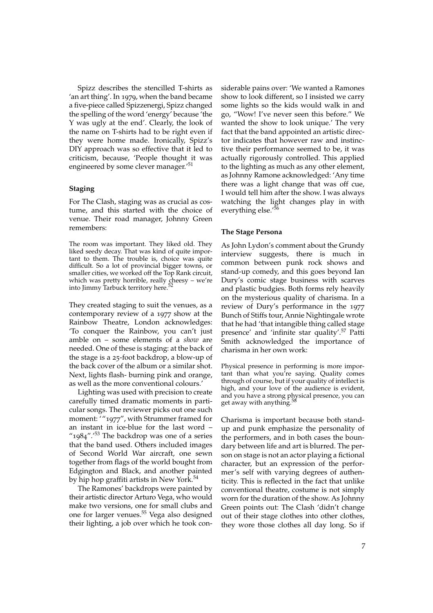Spizz describes the stencilled T-shirts as 'an art thing'. In 1979, when the band became a five-piece called Spizzenergi, Spizz changed the spelling of the word 'energy' because 'the Y was ugly at the end'. Clearly, the look of the name on T-shirts had to be right even if they were home made. Ironically, Spizz's DIY approach was so effective that it led to criticism, because, 'People thought it was engineered by some clever manager.'<sup>51</sup>

#### **Staging**

For The Clash, staging was as crucial as costume, and this started with the choice of venue. Their road manager, Johnny Green remembers:

The room was important. They liked old. They liked seedy decay. That was kind of quite important to them. The trouble is, choice was quite difficult. So a lot of provincial bigger towns, or smaller cities, we worked off the Top Rank circuit, which was pretty horrible, really cheesy  $-$  we're into Jimmy Tarbuck territory here.<sup>5</sup>

They created staging to suit the venues, as a contemporary review of a 1977 show at the Rainbow Theatre, London acknowledges: 'To conquer the Rainbow, you can't just amble on – some elements of a *show* are needed. One of these is staging: at the back of the stage is a 25-foot backdrop, a blow-up of the back cover of the album or a similar shot. Next, lights flash- burning pink and orange, as well as the more conventional colours.'

Lighting was used with precision to create carefully timed dramatic moments in particular songs. The reviewer picks out one such moment: '"1977", with Strummer framed for an instant in ice-blue for the last word – " $1984$ ".<sup>'53</sup> The backdrop was one of a series that the band used. Others included images of Second World War aircraft, one sewn together from flags of the world bought from Edgington and Black, and another painted by hip hop graffiti artists in New York.<sup>54</sup>

The Ramones' backdrops were painted by their artistic director Arturo Vega, who would make two versions, one for small clubs and one for larger venues.<sup>55</sup> Vega also designed their lighting, a job over which he took considerable pains over: 'We wanted a Ramones show to look different, so I insisted we carry some lights so the kids would walk in and go, "Wow! I've never seen this before." We wanted the show to look unique.' The very fact that the band appointed an artistic director indicates that however raw and instinctive their performance seemed to be, it was actually rigorously controlled. This applied to the lighting as much as any other element, as Johnny Ramone acknowledged: 'Any time there was a light change that was off cue, I would tell him after the show. I was always watching the light changes play in with everything else.'<sup>56</sup>

#### **The Stage Persona**

As John Lydon's comment about the Grundy interview suggests, there is much in common between punk rock shows and stand-up comedy, and this goes beyond Ian Dury's comic stage business with scarves and plastic budgies. Both forms rely heavily on the mysterious quality of charisma. In a review of Dury's performance in the 1977 Bunch of Stiffs tour, Annie Nightingale wrote that he had 'that intangible thing called stage presence' and 'infinite star quality'.<sup>57</sup> Patti Smith acknowledged the importance of charisma in her own work:

Physical presence in performing is more important than what you're saying. Quality comes through of course, but if your quality of intellect is high, and your love of the audience is evident, and you have a strong physical presence, you can get away with anything.<sup>58</sup>

Charisma is important because both standup and punk emphasize the personality of the performers, and in both cases the boundary between life and art is blurred. The person on stage is not an actor playing a fictional character, but an expression of the performer's self with varying degrees of authenticity. This is reflected in the fact that unlike conventional theatre, costume is not simply worn for the duration of the show. As Johnny Green points out: The Clash 'didn't change out of their stage clothes into other clothes, they wore those clothes all day long. So if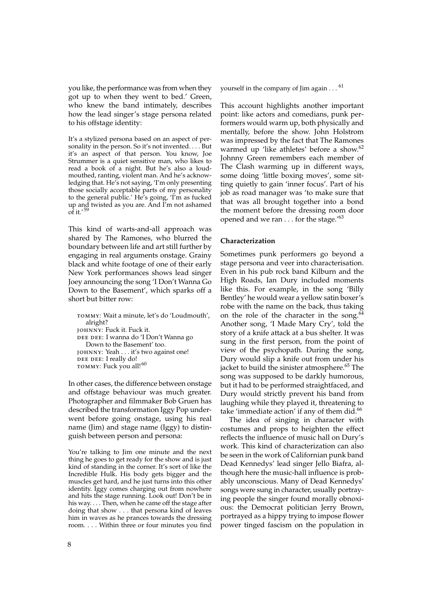you like, the performance was from when they got up to when they went to bed.' Green, who knew the band intimately, describes how the lead singer's stage persona related to his offstage identity:

It's a stylized persona based on an aspect of personality in the person. So it's not invented. . . . But it's an aspect of that person. You know, Joe Strummer is a quiet sensitive man, who likes to read a book of a night. But he's also a loudmouthed, ranting, violent man. And he's acknowledging that. He's not saying, 'I'm only presenting those socially acceptable parts of my personality to the general public.' He's going, 'I'm as fucked up and twisted as you are. And I'm not ashamed of it. $\frac{12}{59}$ 

This kind of warts-and-all approach was shared by The Ramones, who blurred the boundary between life and art still further by engaging in real arguments onstage. Grainy black and white footage of one of their early New York performances shows lead singer Joey announcing the song 'I Don't Wanna Go Down to the Basement', which sparks off a short but bitter row:

tommy: Wait a minute, let's do 'Loudmouth', alright? johnny: Fuck it. Fuck it. DEE DEE: I wanna do 'I Don't Wanna go Down to the Basement' too. JOHNNY: Yeah . . . it's two against one! DEE DEE: I really do! TOMMY: Fuck you all!<sup>60</sup>

In other cases, the difference between onstage and offstage behaviour was much greater. Photographer and filmmaker Bob Gruen has described the transformation Iggy Pop underwent before going onstage, using his real name (Jim) and stage name (Iggy) to distinguish between person and persona:

You're talking to Jim one minute and the next thing he goes to get ready for the show and is just kind of standing in the corner. It's sort of like the Incredible Hulk. His body gets bigger and the muscles get hard, and he just turns into this other identity. Iggy comes charging out from nowhere and hits the stage running. Look out! Don't be in his way. . . . Then, when he came off the stage after doing that show . . . that persona kind of leaves him in waves as he prances towards the dressing room. . . . Within three or four minutes you find

yourself in the company of Jim again . . . <sup>61</sup>

This account highlights another important point: like actors and comedians, punk performers would warm up, both physically and mentally, before the show. John Holstrom was impressed by the fact that The Ramones warmed up 'like athletes' before a show.<sup>62</sup> Johnny Green remembers each member of The Clash warming up in different ways, some doing 'little boxing moves', some sitting quietly to gain 'inner focus'. Part of his job as road manager was 'to make sure that that was all brought together into a bond the moment before the dressing room door opened and we ran  $\dots$  for the stage.<sup>'63</sup>

#### **Characterization**

Sometimes punk performers go beyond a stage persona and veer into characterisation. Even in his pub rock band Kilburn and the High Roads, Ian Dury included moments like this. For example, in the song 'Billy Bentley' he would wear a yellow satin boxer's robe with the name on the back, thus taking on the role of the character in the song. $64$ Another song, 'I Made Mary Cry', told the story of a knife attack at a bus shelter. It was sung in the first person, from the point of view of the psychopath. During the song, Dury would slip a knife out from under his jacket to build the sinister atmosphere.<sup>65</sup> The song was supposed to be darkly humorous, but it had to be performed straightfaced, and Dury would strictly prevent his band from laughing while they played it, threatening to take 'immediate action' if any of them did.<sup>66</sup>

The idea of singing in character with costumes and props to heighten the effect reflects the influence of music hall on Dury's work. This kind of characterization can also be seen in the work of Californian punk band Dead Kennedys' lead singer Jello Biafra, although here the music-hall influence is probably unconscious. Many of Dead Kennedys' songs were sung in character, usually portraying people the singer found morally obnoxious: the Democrat politician Jerry Brown, portrayed as a hippy trying to impose flower power tinged fascism on the population in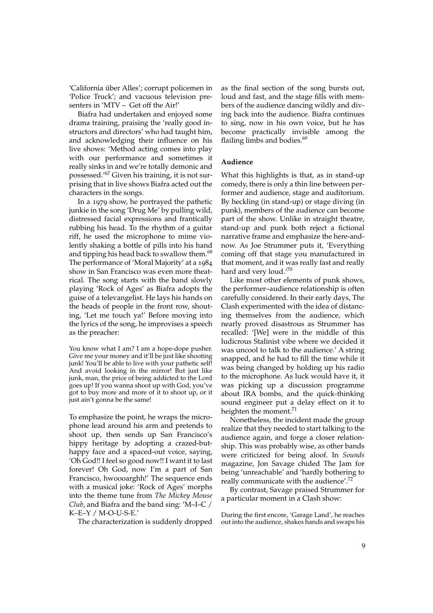'California über Alles'; corrupt policemen in 'Police Truck'; and vacuous television presenters in 'MTV – Get off the Air!'

Biafra had undertaken and enjoyed some drama training, praising the 'really good instructors and directors' who had taught him, and acknowledging their influence on his live shows: 'Method acting comes into play with our performance and sometimes it really sinks in and we're totally demonic and possessed.'<sup>67</sup> Given his training, it is not surprising that in live shows Biafra acted out the characters in the songs.

In a 1979 show, he portrayed the pathetic junkie in the song 'Drug Me' by pulling wild, distressed facial expressions and frantically rubbing his head. To the rhythm of a guitar riff, he used the microphone to mime violently shaking a bottle of pills into his hand and tipping his head back to swallow them.<sup>68</sup> The performance of 'Moral Majority' at a 1984 show in San Francisco was even more theatrical. The song starts with the band slowly playing 'Rock of Ages' as Biafra adopts the guise of a televangelist. He lays his hands on the heads of people in the front row, shouting, 'Let me touch ya!' Before moving into the lyrics of the song, he improvises a speech as the preacher:

You know what I am? I am a hope-dope pusher. Give me your money and it'll be just like shooting junk! You'll be able to live with your pathetic self! And avoid looking in the mirror! But just like junk, man, the price of being addicted to the Lord goes up! If you wanna shoot up with God, you've got to buy more and more of it to shoot up, or it just ain't gonna be the same!

To emphasize the point, he wraps the microphone lead around his arm and pretends to shoot up, then sends up San Francisco's hippy heritage by adopting a crazed-buthappy face and a spaced-out voice, saying, 'Oh God!! I feel so good now!! I want it to last forever! Oh God, now I'm a part of San Francisco, hwoooarghh!' The sequence ends with a musical joke: 'Rock of Ages' morphs into the theme tune from *The Mickey Mouse Club*, and Biafra and the band sing: 'M–I–C / K–E–Y / M-O-U-S-E.'

The characterization is suddenly dropped

as the final section of the song bursts out, loud and fast, and the stage fills with members of the audience dancing wildly and diving back into the audience. Biafra continues to sing, now in his own voice, but he has become practically invisible among the flailing limbs and bodies. $69$ 

#### **Audience**

What this highlights is that, as in stand-up comedy, there is only a thin line between performer and audience, stage and auditorium. By heckling (in stand-up) or stage diving (in punk), members of the audience can become part of the show. Unlike in straight theatre, stand-up and punk both reject a fictional narrative frame and emphasize the here-andnow. As Joe Strummer puts it, 'Everything coming off that stage you manufactured in that moment, and it was really fast and really hard and very loud.'70

Like most other elements of punk shows, the performer–audience relationship is often carefully considered. In their early days, The Clash experimented with the idea of distancing themselves from the audience, which nearly proved disastrous as Strummer has recalled: '[We] were in the middle of this ludicrous Stalinist vibe where we decided it was uncool to talk to the audience.' A string snapped, and he had to fill the time while it was being changed by holding up his radio to the microphone. As luck would have it, it was picking up a discussion programme about IRA bombs, and the quick-thinking sound engineer put a delay effect on it to heighten the moment.<sup>71</sup>

Nonetheless, the incident made the group realize that they needed to start talking to the audience again, and forge a closer relationship. This was probably wise, as other bands were criticized for being aloof. In *Sounds* magazine, Jon Savage chided The Jam for being 'unreachable' and 'hardly bothering to really communicate with the audience'.<sup>72</sup>

By contrast, Savage praised Strummer for a particular moment in a Clash show:

During the first encore, 'Garage Land', he reaches out into the audience, shakes hands and swaps his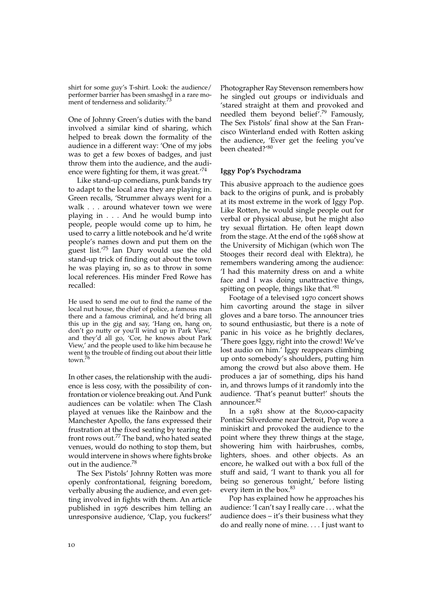shirt for some guy's T-shirt. Look: the audience/ performer barrier has been smashed in a rare moment of tenderness and solidarity.

One of Johnny Green's duties with the band involved a similar kind of sharing, which helped to break down the formality of the audience in a different way: 'One of my jobs was to get a few boxes of badges, and just throw them into the audience, and the audience were fighting for them, it was great. $174$ 

Like stand-up comedians, punk bands try to adapt to the local area they are playing in. Green recalls, 'Strummer always went for a walk . . . around whatever town we were playing in . . . And he would bump into people, people would come up to him, he used to carry a little notebook and he'd write people's names down and put them on the guest list.'<sup>75</sup> Ian Dury would use the old stand-up trick of finding out about the town he was playing in, so as to throw in some local references. His minder Fred Rowe has recalled:

He used to send me out to find the name of the local nut house, the chief of police, a famous man there and a famous criminal, and he'd bring all this up in the gig and say, 'Hang on, hang on, don't go nutty or you'll wind up in Park View, and they'd all go, 'Cor, he knows about Park View,' and the people used to like him because he went to the trouble of finding out about their little town.

In other cases, the relationship with the audience is less cosy, with the possibility of confrontation or violence breaking out. And Punk audiences can be volatile: when The Clash played at venues like the Rainbow and the Manchester Apollo, the fans expressed their frustration at the fixed seating by tearing the front rows out.<sup>77</sup> The band, who hated seated venues, would do nothing to stop them, but would intervene in shows where fights broke out in the audience.<sup>78</sup>

The Sex Pistols' Johnny Rotten was more openly confrontational, feigning boredom, verbally abusing the audience, and even getting involved in fights with them. An article published in 1976 describes him telling an unresponsive audience, 'Clap, you fuckers!' Photographer Ray Stevenson remembers how he singled out groups or individuals and 'stared straight at them and provoked and needled them beyond belief'.<sup>79</sup> Famously, The Sex Pistols' final show at the San Francisco Winterland ended with Rotten asking the audience, 'Ever get the feeling you've been cheated?'<sup>80</sup>

#### **Iggy Pop's Psychodrama**

This abusive approach to the audience goes back to the origins of punk, and is probably at its most extreme in the work of Iggy Pop. Like Rotten, he would single people out for verbal or physical abuse, but he might also try sexual flirtation. He often leapt down from the stage. At the end of the 1968 show at the University of Michigan (which won The Stooges their record deal with Elektra), he remembers wandering among the audience: 'I had this maternity dress on and a white face and I was doing unattractive things, spitting on people, things like that.'<sup>81</sup>

Footage of a televised 1970 concert shows him cavorting around the stage in silver gloves and a bare torso. The announcer tries to sound enthusiastic, but there is a note of panic in his voice as he brightly declares, 'There goes Iggy, right into the crowd! We've lost audio on him.' Iggy reappears climbing up onto somebody's shoulders, putting him among the crowd but also above them. He produces a jar of something, dips his hand in, and throws lumps of it randomly into the audience. 'That's peanut butter!' shouts the announcer.<sup>82</sup>

In a 1981 show at the 80,000-capacity Pontiac Silverdome near Detroit, Pop wore a miniskirt and provoked the audience to the point where they threw things at the stage, showering him with hairbrushes, combs, lighters, shoes. and other objects. As an encore, he walked out with a box full of the stuff and said, 'I want to thank you all for being so generous tonight,' before listing every item in the box.<sup>83</sup>

Pop has explained how he approaches his audience: 'I can't say I really care . . . what the audience does – it's their business what they do and really none of mine. . . . I just want to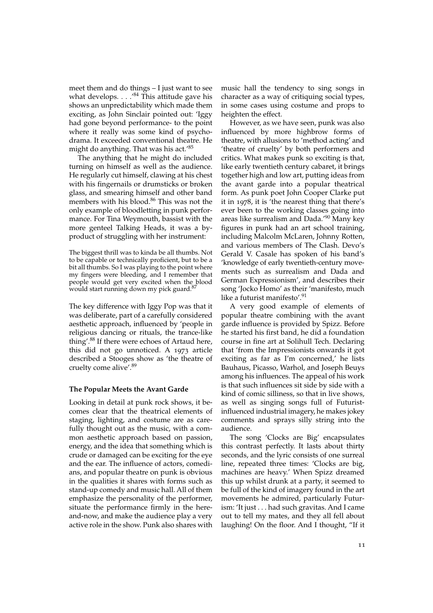meet them and do things – I just want to see what develops.  $\ldots$ .<sup>84</sup> This attitude gave his shows an unpredictability which made them exciting, as John Sinclair pointed out: 'Iggy had gone beyond performance- to the point where it really was some kind of psychodrama. It exceeded conventional theatre. He might do anything. That was his act.<sup>'85</sup>

The anything that he might do included turning on himself as well as the audience. He regularly cut himself, clawing at his chest with his fingernails or drumsticks or broken glass, and smearing himself and other band members with his blood.<sup>86</sup> This was not the only example of bloodletting in punk performance. For Tina Weymouth, bassist with the more genteel Talking Heads, it was a byproduct of struggling with her instrument:

The biggest thrill was to kinda be all thumbs. Not to be capable or technically proficient, but to be a bit all thumbs. So I was playing to the point where my fingers were bleeding, and I remember that people would get very excited when the blood would start running down my pick guard.<sup>87</sup>

The key difference with Iggy Pop was that it was deliberate, part of a carefully considered aesthetic approach, influenced by 'people in religious dancing or rituals, the trance-like thing'.<sup>88</sup> If there were echoes of Artaud here, this did not go unnoticed. A 1973 article described a Stooges show as 'the theatre of cruelty come alive'.<sup>89</sup>

#### **The Popular Meets the Avant Garde**

Looking in detail at punk rock shows, it becomes clear that the theatrical elements of staging, lighting, and costume are as carefully thought out as the music, with a common aesthetic approach based on passion, energy, and the idea that something which is crude or damaged can be exciting for the eye and the ear. The influence of actors, comedians, and popular theatre on punk is obvious in the qualities it shares with forms such as stand-up comedy and music hall. All of them emphasize the personality of the performer, situate the performance firmly in the hereand-now, and make the audience play a very active role in the show. Punk also shares with music hall the tendency to sing songs in character as a way of critiquing social types, in some cases using costume and props to heighten the effect.

However, as we have seen, punk was also influenced by more highbrow forms of theatre, with allusions to 'method acting' and 'theatre of cruelty' by both performers and critics. What makes punk so exciting is that, like early twentieth century cabaret, it brings together high and low art, putting ideas from the avant garde into a popular theatrical form. As punk poet John Cooper Clarke put it in 1978, it is 'the nearest thing that there's ever been to the working classes going into areas like surrealism and Dada.'<sup>90</sup> Many key figures in punk had an art school training, including Malcolm McLaren, Johnny Rotten, and various members of The Clash. Devo's Gerald V. Casale has spoken of his band's 'knowledge of early twentieth-century movements such as surrealism and Dada and German Expressionism', and describes their song 'Jocko Homo' as their 'manifesto, much like a futurist manifesto'.91

A very good example of elements of popular theatre combining with the avant garde influence is provided by Spizz. Before he started his first band, he did a foundation course in fine art at Solihull Tech. Declaring that 'from the Impressionists onwards it got exciting as far as I'm concerned,' he lists Bauhaus, Picasso, Warhol, and Joseph Beuys among his influences. The appeal of his work is that such influences sit side by side with a kind of comic silliness, so that in live shows, as well as singing songs full of Futuristinfluenced industrial imagery, he makes jokey comments and sprays silly string into the audience.

The song 'Clocks are Big' encapsulates this contrast perfectly. It lasts about thirty seconds, and the lyric consists of one surreal line, repeated three times: 'Clocks are big, machines are heavy.' When Spizz dreamed this up whilst drunk at a party, it seemed to be full of the kind of imagery found in the art movements he admired, particularly Futurism: 'It just . . . had such gravitas. And I came out to tell my mates, and they all fell about laughing! On the floor. And I thought, "If it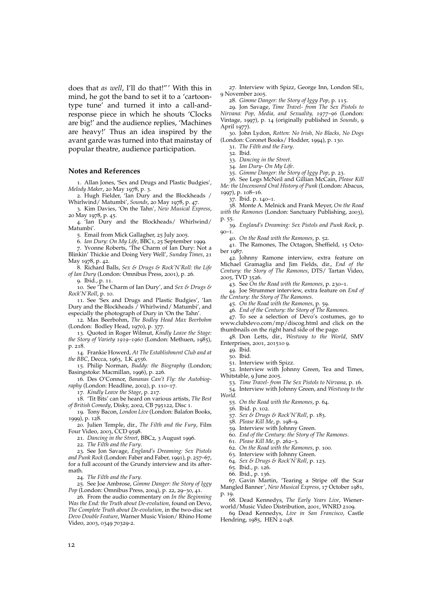does that *as well*, I'll do that!"' With this in mind, he got the band to set it to a 'cartoontype tune' and turned it into a call-andresponse piece in which he shouts 'Clocks are big!' and the audience replies, 'Machines are heavy!' Thus an idea inspired by the avant garde was turned into that mainstay of popular theatre, audience participation.

#### **Notes and References**

1. Allan Jones, 'Sex and Drugs and Plastic Budgies', *Melody Maker*, 20 May 1978, p. 3.

2. Hugh Fielder, 'Ian Dury and the Blockheads / Whirlwind/ Matumbi', *Sounds*, 20 May 1978, p. 47.

3. Kim Davies, 'On the Tahn', *New Musical Express*, 20 May 1978, p. 45.

4. 'Ian Dury and the Blockheads/ Whirlwind/ Matumbi'.

5. Email from Mick Gallagher, 25 July 2005.

6. *Ian Dury: On My Life*, BBC1, 25 September 1999.

7. Yvonne Roberts, 'The Charm of Ian Dury: Not a Blinkin' Thickie and Doing Very Well', *Sunday Times*, 21 May 1978, p. 42.

8. Richard Balls, *Sex & Drugs & Rock'N'Roll: the Life of Ian Dury* (London: Omnibus Press, 2001), p. 26.

9. Ibid., p. 11.

10. See 'The Charm of Ian Dury', and *Sex & Drugs & Rock'N'Roll*, p. 10.

11. See 'Sex and Drugs and Plastic Budgies', 'Ian Dury and the Blockheads / Whirlwind/ Matumbi', and

especially the photograph of Dury in 'On the Tahn'. 12. Max Beerbohm, *The Bodley Head Max Beerbohm*

(London: Bodley Head, 1970), p. 377. 13. Quoted in Roger Wilmut, *Kindly Leave the Stage:*

*the Story of Variety 1919–1960* (London: Methuen, 1985), p. 218.

14. Frankie Howerd, *At The Establishment Club and at the BBC*, Decca, 1963, LK 4556.

15. Philip Norman, *Buddy: the Biography* (London; Basingstoke: Macmillan, 1996), p. 226.

16. Des O'Connor, *Bananas Can't Fly: the Autobiography* (London: Headline, 2002), p. 110–17.

17. *Kindly Leave the Stage*, p. 217.

18. 'Tit Bits' can be heard on various artists, *The Best of British Comedy*, Disky, 2002, CB 795122, Disc 1.

19. Tony Bacon, *London Live* (London: Balafon Books, 1999), p. 128.

20. Julien Temple, dir., *The Filth and the Fury*, Film Four Video, 2003, CCD 9598.

21. *Dancing in the Street*, BBC2, 3 August 1996.

22. *The Filth and the Fury*.

23. See Jon Savage, *England's Dreaming: Sex Pistols and Punk Rock* (London: Faber and Faber, 1991), p. 257–67, for a full account of the Grundy interview and its aftermath.

24. *The Filth and the Fury*.

25. See Joe Ambrose, *Gimme Danger: the Story of Iggy Pop* (London: Omnibus Press, 2004), p. 22, 29–30, 41.

26. From the audio commentary on *In the Beginning Was the End: the Truth about De-evolution*, found on Devo, *The Complete Truth about De-evolution*, in the two-disc set *Devo Double Feature*, Warner Music Vision/ Rhino Home Video, 2003, 0349 70329-2.

27. Interview with Spizz, George Inn, London SE1, 9 November 2005.

28. *Gimme Danger: the Story of Iggy Pop*, p. 115.

29. Jon Savage, *Time Travel- from The Sex Pistols to Nirvana: Pop, Media, and Sexuality, 1977–96* (London: Vintage, 1997), p. 14 (originally published in *Sounds*, 9 April 1977).

30. John Lydon, *Rotten: No Irish, No Blacks, No Dogs* (London: Coronet Books/ Hodder, 1994), p. 130.

31. *The Filth and the Fury*.

32. Ibid.

33. *Dancing in the Street*.

34. *Ian Dury- On My Life*.

35. *Gimme Danger: the Story of Iggy Pop*, p. 23.

36. See Legs McNeil and Gillian McCain, *Please Kill Me: the Uncensored Oral History of Punk* (London: Abacus, 1997), p. 108–16.

37. Ibid. p. 140–1.

38. Monte A. Melnick and Frank Meyer, *On the Road with the Ramones* (London: Sanctuary Publishing, 2003), p. 55.

39. *England's Dreaming: Sex Pistols and Punk Rock*, p. 90–1.

40. *On the Road with the Ramones*, p. 52.

41. The Ramones, The Octagon, Sheffield, 15 October 1987.

42. Johnny Ramone interview, extra feature on Michael Gramaglia and Jim Fields, dir., *End of the Century: the Story of The Ramones*, DTS/ Tartan Video, 2005, TVD 3526.

43. See *On the Road with the Ramones*, p. 230–1.

44. Joe Strummer interview, extra feature on *End of the Century: the Story of The Ramones*.

45. *On the Road with the Ramones*, p. 59.

46. *End of the Century: the Story of The Ramones*.

47. To see a selection of Devo's costumes, go to www.clubdevo.com/mp/discog.html and click on the thumbnails on the right hand side of the page.

48. Don Letts, dir., *Westway to the World*, SMV Enterprises, 2001, 201510 9.

49. Ibid.

50. Ibid.

51. Interview with Spizz.

52. Interview with Johnny Green, Tea and Times, Whitstable, 9 June 2005.

53. *Time Travel- from The Sex Pistols to Nirvana*, p. 16.

54. Interview with Johnny Green, and *Westway to the World*.

55. *On the Road with the Ramones*, p. 64.

56. Ibid. p. 102.

57. *Sex & Drugs & Rock'N'Roll*, p. 183.

58. *Please Kill Me*, p. 198–9.

59. Interview with Johnny Green.

60. *End of the Century: the Story of The Ramones*.

61. *Please Kill Me*, p. 262–3.

62. *On the Road with the Ramones*, p. 100.

63. Interview with Johnny Green.

64. *Sex & Drugs & Rock'N'Roll*, p. 123.

65. Ibid., p. 126.

66. Ibid., p. 136.

67. Gavin Martin, 'Tearing a Stripe off the Scar Mangled Banner', *New Musical Express*, 17 October 1981,

p. 19. 68. Dead Kennedys, *The Early Years Live*, Wiener-

world/Music Video Distribution, 2001, WNRD 2109. 69 Dead Kennedys, *Live in San Francisco*, Castle Hendring, 1985, HEN 2 048.